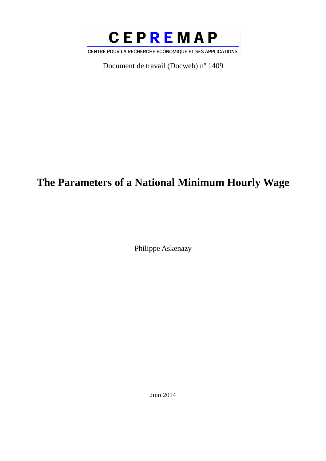

CENTRE POUR LA RECHERCHE ECONOMIQUE ET SES APPLICATIONS

Document de travail (Docweb) nº 1409

# **The Parameters of a National Minimum Hourly Wage**

Philippe Askenazy

Juin 2014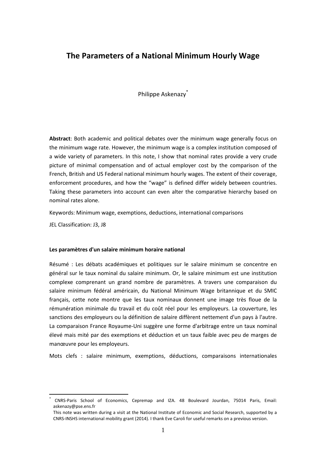# **The Parameters of a National Minimum Hourly Wage**

Philippe Askenazy<sup>\*</sup>

**Abstract**: Both academic and political debates over the minimum wage generally focus on the minimum wage rate. However, the minimum wage is a complex institution composed of a wide variety of parameters. In this note, I show that nominal rates provide a very crude picture of minimal compensation and of actual employer cost by the comparison of the French, British and US Federal national minimum hourly wages. The extent of their coverage, enforcement procedures, and how the "wage" is defined differ widely between countries. Taking these parameters into account can even alter the comparative hierarchy based on nominal rates alone.

Keywords: Minimum wage, exemptions, deductions, international comparisons

JEL Classification: J3, J8

 $\overline{a}$ 

#### **Les paramètres d'un salaire minimum horaire national**

Résumé : Les débats académiques et politiques sur le salaire minimum se concentre en général sur le taux nominal du salaire minimum. Or, le salaire minimum est une institution complexe comprenant un grand nombre de paramètres. A travers une comparaison du salaire minimum fédéral américain, du National Minimum Wage britannique et du SMIC français, cette note montre que les taux nominaux donnent une image très floue de la rémunération minimale du travail et du coût réel pour les employeurs. La couverture, les sanctions des employeurs ou la définition de salaire diffèrent nettement d'un pays à l'autre. La comparaison France Royaume-Uni suggère une forme d'arbitrage entre un taux nominal élevé mais mité par des exemptions et déduction et un taux faible avec peu de marges de manœuvre pour les employeurs.

Mots clefs : salaire minimum, exemptions, déductions, comparaisons internationales

<sup>\*</sup> CNRS-Paris School of Economics, Cepremap and IZA. 48 Boulevard Jourdan, 75014 Paris, Email: askenazy@pse.ens.fr

This note was written during a visit at the National Institute of Economic and Social Research, supported by a CNRS-INSHS international mobility grant (2014). I thank Eve Caroli for useful remarks on a previous version.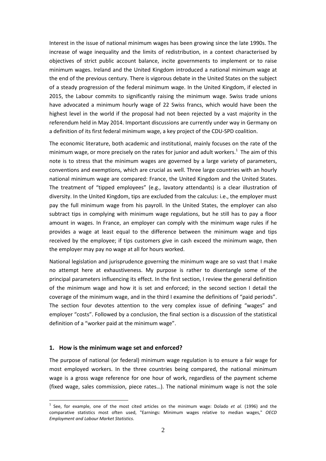Interest in the issue of national minimum wages has been growing since the late 1990s. The increase of wage inequality and the limits of redistribution, in a context characterised by objectives of strict public account balance, incite governments to implement or to raise minimum wages. Ireland and the United Kingdom introduced a national minimum wage at the end of the previous century. There is vigorous debate in the United States on the subject of a steady progression of the federal minimum wage. In the United Kingdom, if elected in 2015, the Labour commits to significantly raising the minimum wage. Swiss trade unions have advocated a minimum hourly wage of 22 Swiss francs, which would have been the highest level in the world if the proposal had not been rejected by a vast majority in the referendum held in May 2014. Important discussions are currently under way in Germany on a definition of its first federal minimum wage, a key project of the CDU-SPD coalition.

The economic literature, both academic and institutional, mainly focuses on the rate of the minimum wage, or more precisely on the rates for junior and adult workers.<sup>1</sup> The aim of this note is to stress that the minimum wages are governed by a large variety of parameters, conventions and exemptions, which are crucial as well. Three large countries with an hourly national minimum wage are compared: France, the United Kingdom and the United States. The treatment of "tipped employees" (e.g., lavatory attendants) is a clear illustration of diversity. In the United Kingdom, tips are excluded from the calculus: i.e., the employer must pay the full minimum wage from his payroll. In the United States, the employer can also subtract tips in complying with minimum wage regulations, but he still has to pay a floor amount in wages. In France, an employer can comply with the minimum wage rules if he provides a wage at least equal to the difference between the minimum wage and tips received by the employee; if tips customers give in cash exceed the minimum wage, then the employer may pay no wage at all for hours worked.

National legislation and jurisprudence governing the minimum wage are so vast that I make no attempt here at exhaustiveness. My purpose is rather to disentangle some of the principal parameters influencing its effect. In the first section, I review the general definition of the minimum wage and how it is set and enforced; in the second section I detail the coverage of the minimum wage, and in the third I examine the definitions of "paid periods". The section four devotes attention to the very complex issue of defining "wages" and employer "costs". Followed by a conclusion, the final section is a discussion of the statistical definition of a "worker paid at the minimum wage".

#### **1. How is the minimum wage set and enforced?**

 $\overline{a}$ 

The purpose of national (or federal) minimum wage regulation is to ensure a fair wage for most employed workers. In the three countries being compared, the national minimum wage is a gross wage reference for one hour of work, regardless of the payment scheme (fixed wage, sales commission, piece rates…). The national minimum wage is not the sole

<sup>&</sup>lt;sup>1</sup> See, for example, one of the most cited articles on the minimum wage: Dolado *et al.* (1996) and the comparative statistics most often used, "Earnings: Minimum wages relative to median wages," *OECD Employment and Labour Market Statistics*.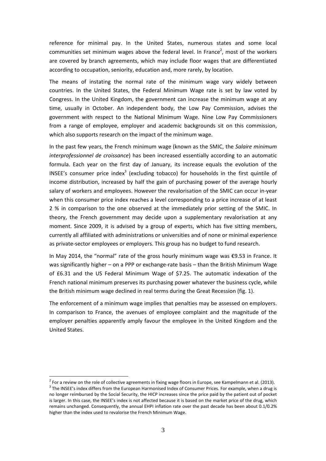reference for minimal pay. In the United States, numerous states and some local communities set minimum wages above the federal level. In France<sup>2</sup>, most of the workers are covered by branch agreements, which may include floor wages that are differentiated according to occupation, seniority, education and, more rarely, by location.

The means of instating the normal rate of the minimum wage vary widely between countries. In the United States, the Federal Minimum Wage rate is set by law voted by Congress. In the United Kingdom, the government can increase the minimum wage at any time, usually in October. An independent body, the Low Pay Commission, advises the government with respect to the National Minimum Wage. Nine Low Pay Commissioners from a range of employee, employer and academic backgrounds sit on this commission, which also supports research on the impact of the minimum wage.

In the past few years, the French minimum wage (known as the SMIC, the *Salaire minimum interprofessionnel de croissance*) has been increased essentially according to an automatic formula. Each year on the first day of January, its increase equals the evolution of the INSEE's consumer price index $3$  (excluding tobacco) for households in the first quintile of income distribution, increased by half the gain of purchasing power of the average hourly salary of workers and employees. However the revalorisation of the SMIC can occur in-year when this consumer price index reaches a level corresponding to a price increase of at least 2 % in comparison to the one observed at the immediately prior setting of the SMIC. In theory, the French government may decide upon a supplementary revalorisation at any moment. Since 2009, it is advised by a group of experts, which has five sitting members, currently all affiliated with administrations or universities and of none or minimal experience as private-sector employees or employers. This group has no budget to fund research.

In May 2014, the "normal" rate of the gross hourly minimum wage was €9.53 in France. It was significantly higher – on a PPP or exchange-rate basis – than the British Minimum Wage of £6.31 and the US Federal Minimum Wage of \$7.25. The automatic indexation of the French national minimum preserves its purchasing power whatever the business cycle, while the British minimum wage declined in real terms during the Great Recession (fig. 1).

The enforcement of a minimum wage implies that penalties may be assessed on employers. In comparison to France, the avenues of employee complaint and the magnitude of the employer penalties apparently amply favour the employee in the United Kingdom and the United States.

 $2$  For a review on the role of collective agreements in fixing wage floors in Europe, see Kampelmann et al. (2013). <sup>3</sup> The INSEE's index differs from the European Harmonised Index of Consumer Prices. For example, when a drug is no longer reimbursed by the Social Security, the HICP increases since the price paid by the patient out of pocket is larger. In this case, the INSEE's index is not affected because it is based on the market price of the drug, which remains unchanged. Consequently, the annual EHPI inflation rate over the past decade has been about 0.1/0.2% higher than the index used to revalorise the French Minimum Wage.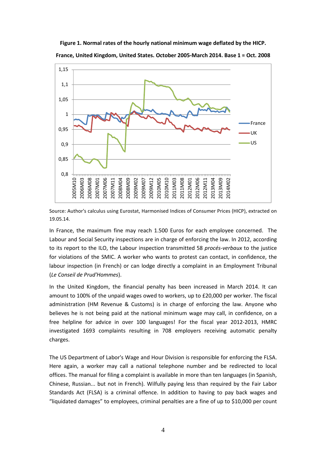



**France, United Kingdom, United States. October 2005-March 2014. Base 1 = Oct. 2008** 

Source: Author's calculus using Eurostat, Harmonised Indices of Consumer Prices (HICP), extracted on 19.05.14.

In France, the maximum fine may reach 1.500 Euros for each employee concerned. The Labour and Social Security inspections are in charge of enforcing the law. In 2012, according to its report to the ILO, the Labour inspection transmitted 58 *procés-verbaux* to the justice for violations of the SMIC. A worker who wants to protest can contact, in confidence, the labour inspection (in French) or can lodge directly a complaint in an Employment Tribunal (*Le Conseil de Prud'Hommes*).

In the United Kingdom, the financial penalty has been increased in March 2014. It can amount to 100% of the unpaid wages owed to workers, up to £20,000 per worker. The fiscal administration (HM Revenue & Customs) is in charge of enforcing the law. Anyone who believes he is not being paid at the national minimum wage may call, in confidence, on a free helpline for advice in over 100 languages! For the fiscal year 2012-2013, HMRC investigated 1693 complaints resulting in 708 employers receiving automatic penalty charges.

The US Department of Labor's Wage and Hour Division is responsible for enforcing the FLSA. Here again, a worker may call a national telephone number and be redirected to local offices. The manual for filing a complaint is available in more than ten languages (in Spanish, Chinese, Russian... but not in French). Wilfully paying less than required by the Fair Labor Standards Act (FLSA) is a criminal offence. In addition to having to pay back wages and "liquidated damages" to employees, criminal penalties are a fine of up to \$10,000 per count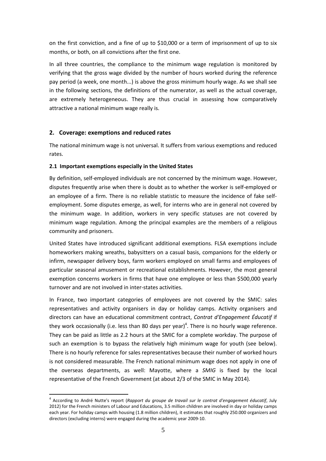on the first conviction, and a fine of up to \$10,000 or a term of imprisonment of up to six months, or both, on all convictions after the first one.

In all three countries, the compliance to the minimum wage regulation is monitored by verifying that the gross wage divided by the number of hours worked during the reference pay period (a week, one month...) is above the gross minimum hourly wage. As we shall see in the following sections, the definitions of the numerator, as well as the actual coverage, are extremely heterogeneous. They are thus crucial in assessing how comparatively attractive a national minimum wage really is.

# **2. Coverage: exemptions and reduced rates**

 $\overline{a}$ 

The national minimum wage is not universal. It suffers from various exemptions and reduced rates.

### **2.1 Important exemptions especially in the United States**

By definition, self-employed individuals are not concerned by the minimum wage. However, disputes frequently arise when there is doubt as to whether the worker is self-employed or an employee of a firm. There is no reliable statistic to measure the incidence of fake selfemployment. Some disputes emerge, as well, for interns who are in general not covered by the minimum wage. In addition, workers in very specific statuses are not covered by minimum wage regulation. Among the principal examples are the members of a religious community and prisoners.

United States have introduced significant additional exemptions. FLSA exemptions include homeworkers making wreaths, babysitters on a casual basis, companions for the elderly or infirm, newspaper delivery boys, farm workers employed on small farms and employees of particular seasonal amusement or recreational establishments. However, the most general exemption concerns workers in firms that have one employee or less than \$500,000 yearly turnover and are not involved in inter-states activities.

In France, two important categories of employees are not covered by the SMIC: sales representatives and activity organisers in day or holiday camps. Activity organisers and directors can have an educational commitment contract, *Contrat d'Engagement Éducatif* if they work occasionally (i.e. less than 80 days per year)<sup>4</sup>. There is no hourly wage reference. They can be paid as little as 2.2 hours at the SMIC for a complete workday. The purpose of such an exemption is to bypass the relatively high minimum wage for youth (see below). There is no hourly reference for sales representatives because their number of worked hours is not considered measurable. The French national minimum wage does not apply in one of the overseas departments, as well: Mayotte, where a *SMIG* is fixed by the local representative of the French Government (at about 2/3 of the SMIC in May 2014).

<sup>4</sup> According to André Nutte's report (*Rapport du groupe de travail sur le contrat d'engagement éducatif*, July 2012) for the French ministers of Labour and Educations, 3.5 million children are involved in day or holiday camps each year. For holiday camps with housing (1.8 million children), it estimates that roughly 250.000 organizers and directors (excluding interns) were engaged during the academic year 2009-10.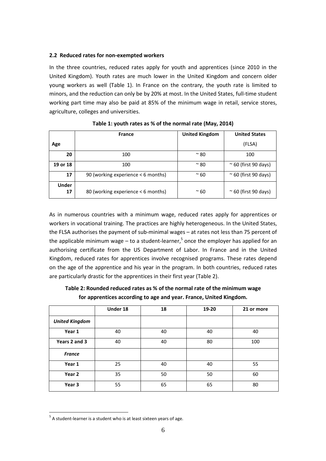#### **2.2 Reduced rates for non-exempted workers**

In the three countries, reduced rates apply for youth and apprentices (since 2010 in the United Kingdom). Youth rates are much lower in the United Kingdom and concern older young workers as well (Table 1). In France on the contrary, the youth rate is limited to minors, and the reduction can only be by 20% at most. In the United States, full-time student working part time may also be paid at 85% of the minimum wage in retail, service stores, agriculture, colleges and universities.

|                    | <b>France</b>                      | <b>United Kingdom</b> | <b>United States</b>         |
|--------------------|------------------------------------|-----------------------|------------------------------|
| Age                |                                    |                       | (FLSA)                       |
| 20                 | 100                                | $~\sim$ 80            | 100                          |
| 19 or 18           | 100                                | $~\sim$ 80            | $\approx$ 60 (first 90 days) |
| 17                 | 90 (working experience < 6 months) | $~\sim 60$            | $\approx$ 60 (first 90 days) |
| <b>Under</b><br>17 | 80 (working experience < 6 months) | $~\sim 60$            | $\approx$ 60 (first 90 days) |

**Table 1: youth rates as % of the normal rate (May, 2014)** 

As in numerous countries with a minimum wage, reduced rates apply for apprentices or workers in vocational training. The practices are highly heterogeneous. In the United States, the FLSA authorises the payment of sub-minimal wages – at rates not less than 75 percent of the applicable minimum wage – to a student-learner,<sup>5</sup> once the employer has applied for an authorising certificate from the US Department of Labor. In France and in the United Kingdom, reduced rates for apprentices involve recognised programs. These rates depend on the age of the apprentice and his year in the program. In both countries, reduced rates are particularly drastic for the apprentices in their first year (Table 2).

**Table 2: Rounded reduced rates as % of the normal rate of the minimum wage for apprentices according to age and year. France, United Kingdom.**

|                       | Under 18 | 18 | 19-20 | 21 or more |
|-----------------------|----------|----|-------|------------|
| <b>United Kingdom</b> |          |    |       |            |
| Year 1                | 40       | 40 | 40    | 40         |
| Years 2 and 3         | 40       | 40 | 80    | 100        |
| <b>France</b>         |          |    |       |            |
| Year 1                | 25       | 40 | 40    | 55         |
| Year 2                | 35       | 50 | 50    | 60         |
| Year 3                | 55       | 65 | 65    | 80         |

 $<sup>5</sup>$  A student-learner is a student who is at least sixteen years of age.</sup>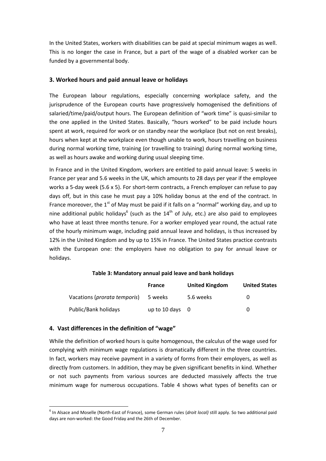In the United States, workers with disabilities can be paid at special minimum wages as well. This is no longer the case in France, but a part of the wage of a disabled worker can be funded by a governmental body.

#### **3. Worked hours and paid annual leave or holidays**

The European labour regulations, especially concerning workplace safety, and the jurisprudence of the European courts have progressively homogenised the definitions of salaried/time/paid/output hours. The European definition of "work time" is quasi-similar to the one applied in the United States. Basically, "hours worked" to be paid include hours spent at work, required for work or on standby near the workplace (but not on rest breaks), hours when kept at the workplace even though unable to work, hours travelling on business during normal working time, training (or travelling to training) during normal working time, as well as hours awake and working during usual sleeping time.

In France and in the United Kingdom, workers are entitled to paid annual leave: 5 weeks in France per year and 5.6 weeks in the UK, which amounts to 28 days per year if the employee works a 5-day week (5.6 x 5). For short-term contracts, a French employer can refuse to pay days off, but in this case he must pay a 10% holiday bonus at the end of the contract. In France moreover, the  $1<sup>st</sup>$  of May must be paid if it falls on a "normal" working day, and up to nine additional public holidays<sup>6</sup> (such as the  $14^{\text{th}}$  of July, etc.) are also paid to employees who have at least three months tenure. For a worker employed year round, the actual rate of the hourly minimum wage, including paid annual leave and holidays, is thus increased by 12% in the United Kingdom and by up to 15% in France. The United States practice contrasts with the European one: the employers have no obligation to pay for annual leave or holidays.

#### **Table 3: Mandatory annual paid leave and bank holidays**

|                                       | <b>France</b>     | <b>United Kingdom</b> | <b>United States</b> |
|---------------------------------------|-------------------|-----------------------|----------------------|
| Vacations ( <i>prorata temporis</i> ) | 5 weeks           | 5.6 weeks             |                      |
| Public/Bank holidays                  | up to 10 days $0$ |                       |                      |

#### **4. Vast differences in the definition of "wage"**

 $\overline{a}$ 

While the definition of worked hours is quite homogenous, the calculus of the wage used for complying with minimum wage regulations is dramatically different in the three countries. In fact, workers may receive payment in a variety of forms from their employers, as well as directly from customers. In addition, they may be given significant benefits in kind. Whether or not such payments from various sources are deducted massively affects the true minimum wage for numerous occupations. Table 4 shows what types of benefits can or

<sup>&</sup>lt;sup>6</sup> In Alsace and Moselle (North-East of France), some German rules (*droit local)* still apply. So two additional paid days are non-worked: the Good Friday and the 26th of December.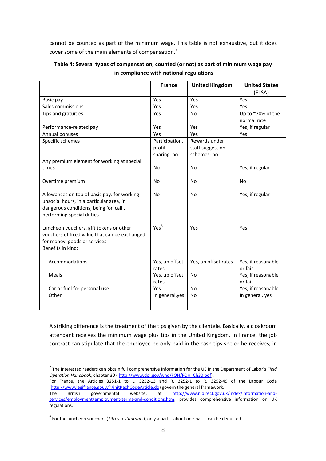cannot be counted as part of the minimum wage. This table is not exhaustive, but it does cover some of the main elements of compensation.<sup>7</sup>

|                                               | <b>France</b>    | <b>United Kingdom</b> | <b>United States</b> |
|-----------------------------------------------|------------------|-----------------------|----------------------|
|                                               |                  |                       | (FLSA)               |
| Basic pay                                     | Yes              | Yes                   | Yes                  |
| Sales commissions                             | Yes              | Yes                   | Yes                  |
| Tips and gratuities                           | Yes              | <b>No</b>             | Up to ~70% of the    |
|                                               |                  |                       | normal rate          |
| Performance-related pay                       | Yes              | Yes                   | Yes, if regular      |
| Annual bonuses                                | Yes              | Yes                   | Yes                  |
| Specific schemes                              | Participation,   | Rewards under         |                      |
|                                               | profit-          | staff suggestion      |                      |
|                                               | sharing: no      | schemes: no           |                      |
| Any premium element for working at special    |                  |                       |                      |
| times                                         | <b>No</b>        | <b>No</b>             | Yes, if regular      |
|                                               |                  |                       |                      |
| Overtime premium                              | <b>No</b>        | <b>No</b>             | <b>No</b>            |
|                                               |                  |                       |                      |
| Allowances on top of basic pay: for working   | N <sub>0</sub>   | <b>No</b>             | Yes, if regular      |
| unsocial hours, in a particular area, in      |                  |                       |                      |
| dangerous conditions, being 'on call',        |                  |                       |                      |
| performing special duties                     |                  |                       |                      |
|                                               |                  |                       |                      |
| Luncheon vouchers, gift tokens or other       | $\mathsf{Yes}^8$ | Yes                   | Yes                  |
| vouchers of fixed value that can be exchanged |                  |                       |                      |
| for money, goods or services                  |                  |                       |                      |
| Benefits in kind:                             |                  |                       |                      |
|                                               |                  |                       |                      |
| Accommodations                                | Yes, up offset   | Yes, up offset rates  | Yes, if reasonable   |
|                                               | rates            |                       | or fair              |
| <b>Meals</b>                                  | Yes, up offset   | No                    | Yes, if reasonable   |
|                                               | rates            |                       | or fair              |
| Car or fuel for personal use                  | Yes              | <b>No</b>             | Yes, if reasonable   |
| Other                                         | In general, yes  | <b>No</b>             | In general, yes      |
|                                               |                  |                       |                      |
|                                               |                  |                       |                      |

# **Table 4: Several types of compensation, counted (or not) as part of minimum wage pay in compliance with national regulations**

A striking difference is the treatment of the tips given by the clientele. Basically, a cloakroom attendant receives the minimum wage plus tips in the United Kingdom. In France, the job contract can stipulate that the employee be only paid in the cash tips she or he receives; in

For France, the Articles 3251-1 to L. 3252-13 and R. 3252-1 to R. 3252-49 of the Labour Code (http://www.legifrance.gouv.fr/initRechCodeArticle.do) govern the general framework.

 7 The interested readers can obtain full comprehensive information for the US in the Department of Labor's *Field Operation Handbook*, chapter 30 ( http://www.dol.gov/whd/FOH/FOH\_Ch30.pdf).

The British governmental website, at http://www.nidirect.gov.uk/index/information-andservices/employment/employment-terms-and-conditions.htm, provides comprehensive information on UK regulations.

<sup>&</sup>lt;sup>8</sup> For the luncheon vouchers (*Titres restaurants*), only a part – about one-half – can be deducted.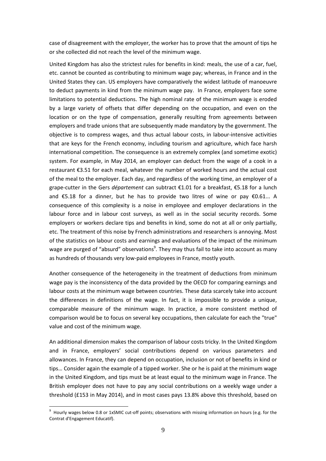case of disagreement with the employer, the worker has to prove that the amount of tips he or she collected did not reach the level of the minimum wage.

United Kingdom has also the strictest rules for benefits in kind: meals, the use of a car, fuel, etc. cannot be counted as contributing to minimum wage pay; whereas, in France and in the United States they can. US employers have comparatively the widest latitude of manoeuvre to deduct payments in kind from the minimum wage pay. In France, employers face some limitations to potential deductions. The high nominal rate of the minimum wage is eroded by a large variety of offsets that differ depending on the occupation, and even on the location or on the type of compensation, generally resulting from agreements between employers and trade unions that are subsequently made mandatory by the government. The objective is to compress wages, and thus actual labour costs, in labour-intensive activities that are keys for the French economy, including tourism and agriculture, which face harsh international competition. The consequence is an extremely complex (and sometime exotic) system. For example, in May 2014, an employer can deduct from the wage of a cook in a restaurant €3.51 for each meal, whatever the number of worked hours and the actual cost of the meal to the employer. Each day, and regardless of the working time, an employer of a grape-cutter in the Gers *département* can subtract €1.01 for a breakfast, €5.18 for a lunch and €5.18 for a dinner, but he has to provide two litres of wine or pay €0.61... A consequence of this complexity is a noise in employee and employer declarations in the labour force and in labour cost surveys, as well as in the social security records. Some employers or workers declare tips and benefits in kind, some do not at all or only partially, etc. The treatment of this noise by French administrations and researchers is annoying. Most of the statistics on labour costs and earnings and evaluations of the impact of the minimum wage are purged of "absurd" observations<sup>9</sup>. They may thus fail to take into account as many as hundreds of thousands very low-paid employees in France, mostly youth.

Another consequence of the heterogeneity in the treatment of deductions from minimum wage pay is the inconsistency of the data provided by the OECD for comparing earnings and labour costs at the minimum wage between countries. These data scarcely take into account the differences in definitions of the wage. In fact, it is impossible to provide a unique, comparable measure of the minimum wage. In practice, a more consistent method of comparison would be to focus on several key occupations, then calculate for each the "true" value and cost of the minimum wage.

An additional dimension makes the comparison of labour costs tricky. In the United Kingdom and in France, employers' social contributions depend on various parameters and allowances. In France, they can depend on occupation, inclusion or not of benefits in kind or tips… Consider again the example of a tipped worker. She or he is paid at the minimum wage in the United Kingdom, and tips must be at least equal to the minimum wage in France. The British employer does not have to pay any social contributions on a weekly wage under a threshold (£153 in May 2014), and in most cases pays 13.8% above this threshold, based on

<sup>&</sup>lt;sup>9</sup> Hourly wages below 0.8 or 1xSMIC cut-off points; observations with missing information on hours (e.g. for the Contrat d'Engagement Educatif).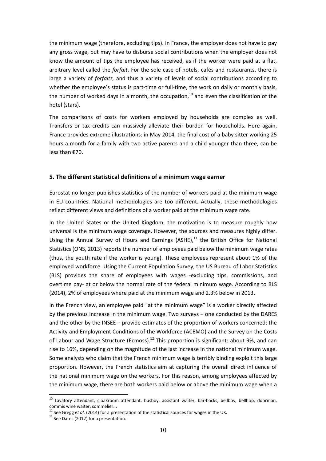the minimum wage (therefore, excluding tips). In France, the employer does not have to pay any gross wage, but may have to disburse social contributions when the employer does not know the amount of tips the employee has received, as if the worker were paid at a flat, arbitrary level called the *forfait*. For the sole case of hotels, cafés and restaurants, there is large a variety of *forfaits,* and thus a variety of levels of social contributions according to whether the employee's status is part-time or full-time, the work on daily or monthly basis, the number of worked days in a month, the occupation, $10$  and even the classification of the hotel (stars).

The comparisons of costs for workers employed by households are complex as well. Transfers or tax credits can massively alleviate their burden for households. Here again, France provides extreme illustrations: in May 2014, the final cost of a baby sitter working 25 hours a month for a family with two active parents and a child younger than three, can be less than €70.

#### **5. The different statistical definitions of a minimum wage earner**

Eurostat no longer publishes statistics of the number of workers paid at the minimum wage in EU countries. National methodologies are too different. Actually, these methodologies reflect different views and definitions of a worker paid at the minimum wage rate.

In the United States or the United Kingdom, the motivation is to measure roughly how universal is the minimum wage coverage. However, the sources and measures highly differ. Using the Annual Survey of Hours and Earnings (ASHE), $^{11}$  the British Office for National Statistics (ONS, 2013) reports the number of employees paid below the minimum wage rates (thus, the youth rate if the worker is young). These employees represent about 1% of the employed workforce. Using the Current Population Survey, the US Bureau of Labor Statistics (BLS) provides the share of employees with wages -excluding tips, commissions, and overtime pay- at or below the normal rate of the federal minimum wage. According to BLS (2014), 2% of employees where paid at the minimum wage and 2.3% below in 2013.

In the French view, an employee paid "at the minimum wage" is a worker directly affected by the previous increase in the minimum wage. Two surveys - one conducted by the DARES and the other by the INSEE – provide estimates of the proportion of workers concerned: the Activity and Employment Conditions of the Workforce (ACEMO) and the Survey on the Costs of Labour and Wage Structure (Ecmoss).<sup>12</sup> This proportion is significant: about 9%, and can rise to 16%, depending on the magnitude of the last increase in the national minimum wage. Some analysts who claim that the French minimum wage is terribly binding exploit this large proportion. However, the French statistics aim at capturing the overall direct influence of the national minimum wage on the workers. For this reason, among employees affected by the minimum wage, there are both workers paid below or above the minimum wage when a

<sup>&</sup>lt;sup>10</sup> Lavatory attendant, cloakroom attendant, busboy, assistant waiter, bar-backs, bellboy, bellhop, doorman, commis wine waiter, sommelier...

<sup>&</sup>lt;sup>11</sup> See Gregg *et al.* (2014) for a presentation of the statistical sources for wages in the UK.

 $12$  See Dares (2012) for a presentation.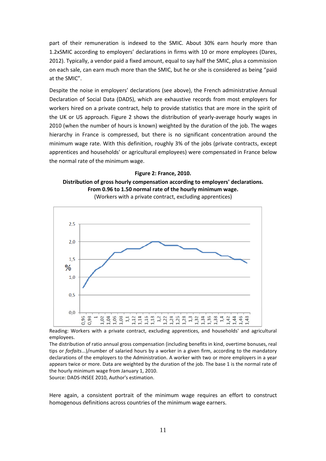part of their remuneration is indexed to the SMIC. About 30% earn hourly more than 1.2xSMIC according to employers' declarations in firms with 10 or more employees (Dares, 2012). Typically, a vendor paid a fixed amount, equal to say half the SMIC, plus a commission on each sale, can earn much more than the SMIC, but he or she is considered as being "paid at the SMIC".

Despite the noise in employers' declarations (see above), the French administrative Annual Declaration of Social Data (DADS), which are exhaustive records from most employers for workers hired on a private contract, help to provide statistics that are more in the spirit of the UK or US approach. Figure 2 shows the distribution of yearly-average hourly wages in 2010 (when the number of hours is known) weighted by the duration of the job. The wages hierarchy in France is compressed, but there is no significant concentration around the minimum wage rate. With this definition, roughly 3% of the jobs (private contracts, except apprentices and households' or agricultural employees) were compensated in France below the normal rate of the minimum wage.

#### **Figure 2: France, 2010.**





(Workers with a private contract, excluding apprentices)

Reading: Workers with a private contract, excluding apprentices, and households' and agricultural employees.

The distribution of ratio annual gross compensation (including benefits in kind, overtime bonuses, real tips or *forfaits*...)/number of salaried hours by a worker in a given firm, according to the mandatory declarations of the employers to the Administration. A worker with two or more employers in a year appears twice or more. Data are weighted by the duration of the job. The base 1 is the normal rate of the hourly minimum wage from January 1, 2010.

Source: DADS-INSEE 2010, Author's estimation.

Here again, a consistent portrait of the minimum wage requires an effort to construct homogenous definitions across countries of the minimum wage earners.